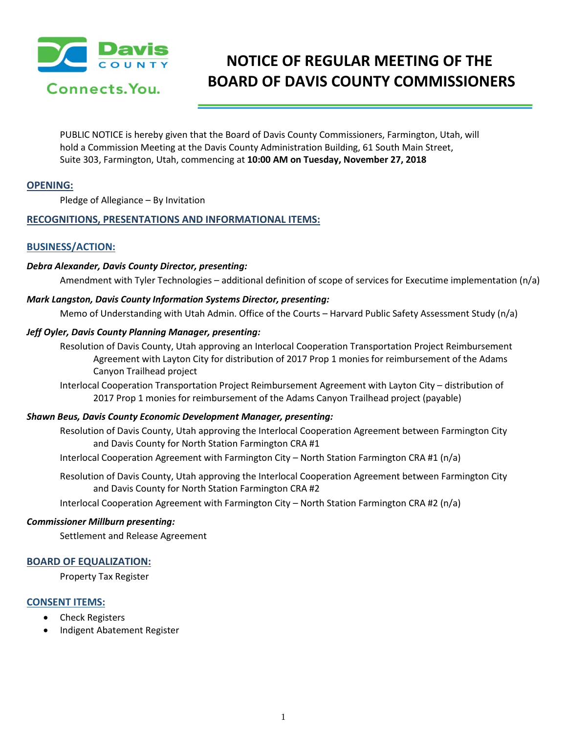

# **NOTICE OF REGULAR MEETING OF THE BOARD OF DAVIS COUNTY COMMISSIONERS**

PUBLIC NOTICE is hereby given that the Board of Davis County Commissioners, Farmington, Utah, will hold a Commission Meeting at the Davis County Administration Building, 61 South Main Street, Suite 303, Farmington, Utah, commencing at **10:00 AM on Tuesday, November 27, 2018**

# **OPENING:**

Pledge of Allegiance – By Invitation

# **RECOGNITIONS, PRESENTATIONS AND INFORMATIONAL ITEMS:**

# **BUSINESS/ACTION:**

## *Debra Alexander, Davis County Director, presenting:*

Amendment with Tyler Technologies – additional definition of scope of services for Executime implementation (n/a)

## *Mark Langston, Davis County Information Systems Director, presenting:*

Memo of Understanding with Utah Admin. Office of the Courts – Harvard Public Safety Assessment Study (n/a)

## *Jeff Oyler, Davis County Planning Manager, presenting:*

- Resolution of Davis County, Utah approving an Interlocal Cooperation Transportation Project Reimbursement Agreement with Layton City for distribution of 2017 Prop 1 monies for reimbursement of the Adams Canyon Trailhead project
- Interlocal Cooperation Transportation Project Reimbursement Agreement with Layton City distribution of 2017 Prop 1 monies for reimbursement of the Adams Canyon Trailhead project (payable)

#### *Shawn Beus, Davis County Economic Development Manager, presenting:*

Resolution of Davis County, Utah approving the Interlocal Cooperation Agreement between Farmington City and Davis County for North Station Farmington CRA #1

Interlocal Cooperation Agreement with Farmington City – North Station Farmington CRA #1 (n/a)

Resolution of Davis County, Utah approving the Interlocal Cooperation Agreement between Farmington City and Davis County for North Station Farmington CRA #2

Interlocal Cooperation Agreement with Farmington City – North Station Farmington CRA #2 (n/a)

#### *Commissioner Millburn presenting:*

Settlement and Release Agreement

#### **BOARD OF EQUALIZATION:**

Property Tax Register

# **CONSENT ITEMS:**

- Check Registers
- Indigent Abatement Register